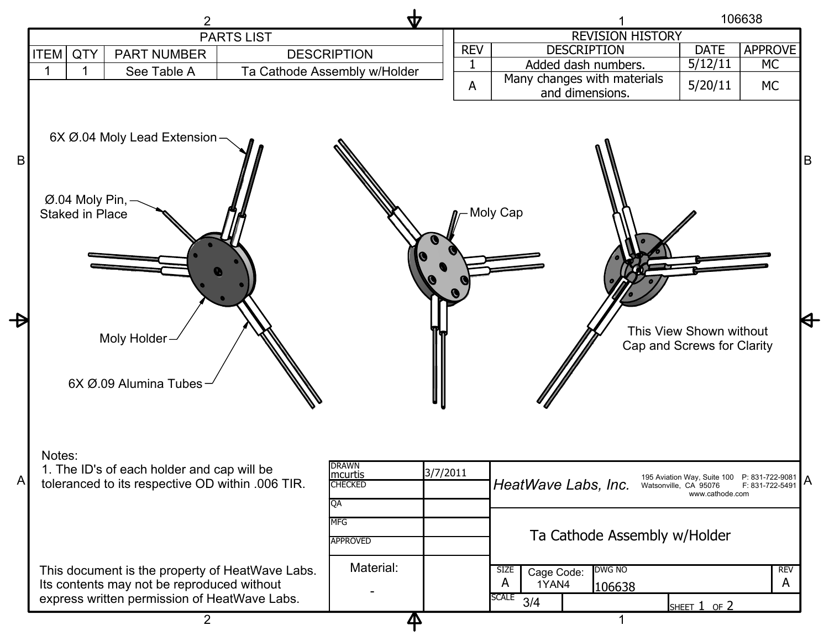